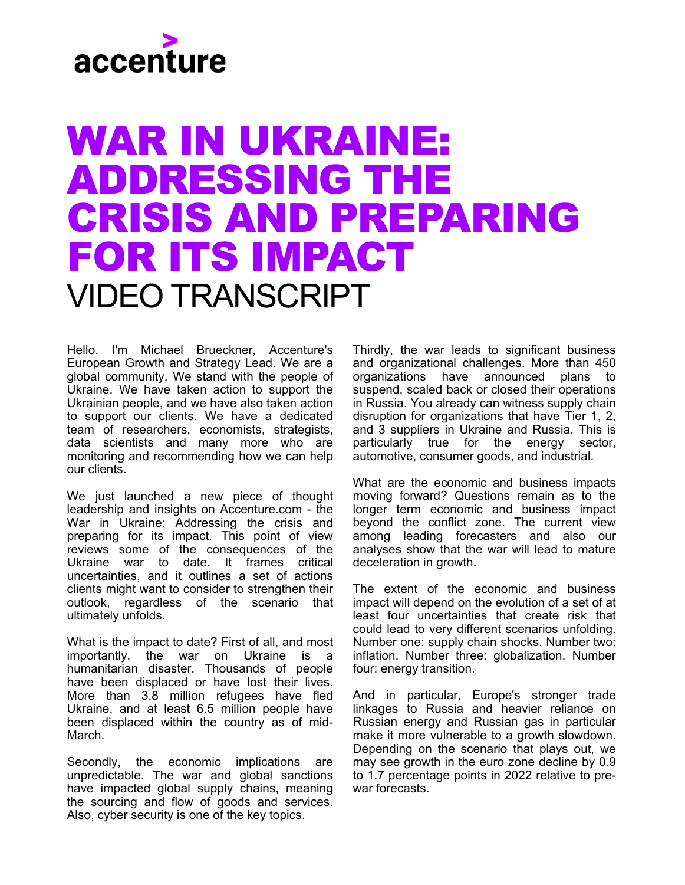## accenture

## WAR IN UKRAINE: ADDRESSING THE CRISIS AND PREPARING FOR ITS IMPACT VIDEO TRANSCRIPT

Hello. I'm Michael Brueckner, Accenture's European Growth and Strategy Lead. We are a global community. We stand with the people of Ukraine. We have taken action to support the Ukrainian people, and we have also taken action to support our clients. We have a dedicated team of researchers, economists, strategists, data scientists and many more who are monitoring and recommending how we can help our clients.

We just launched a new piece of thought leadership and insights on Accenture.com - the War in Ukraine: Addressing the crisis and preparing for its impact. This point of view reviews some of the consequences of the Ukraine war to date. It frames critical uncertainties, and it outlines a set of actions clients might want to consider to strengthen their outlook, regardless of the scenario that ultimately unfolds.

What is the impact to date? First of all, and most importantly, the war on Ukraine is a humanitarian disaster. Thousands of people have been displaced or have lost their lives. More than 3.8 million refugees have fled Ukraine, and at least 6.5 million people have been displaced within the country as of mid-March.

Secondly, the economic implications are unpredictable. The war and global sanctions have impacted global supply chains, meaning the sourcing and flow of goods and services. Also, cyber security is one of the key topics.

Thirdly, the war leads to significant business and organizational challenges. More than 450 organizations have announced plans to suspend, scaled back or closed their operations in Russia. You already can witness supply chain disruption for organizations that have Tier 1, 2, and 3 suppliers in Ukraine and Russia. This is particularly true for the energy sector, automotive, consumer goods, and industrial.

What are the economic and business impacts moving forward? Questions remain as to the longer term economic and business impact beyond the conflict zone. The current view among leading forecasters and also our analyses show that the war will lead to mature deceleration in growth.

The extent of the economic and business impact will depend on the evolution of a set of at least four uncertainties that create risk that could lead to very different scenarios unfolding. Number one: supply chain shocks. Number two: inflation. Number three: globalization. Number four: energy transition.

And in particular, Europe's stronger trade linkages to Russia and heavier reliance on Russian energy and Russian gas in particular make it more vulnerable to a growth slowdown. Depending on the scenario that plays out, we may see growth in the euro zone decline by 0.9 to 1.7 percentage points in 2022 relative to prewar forecasts.